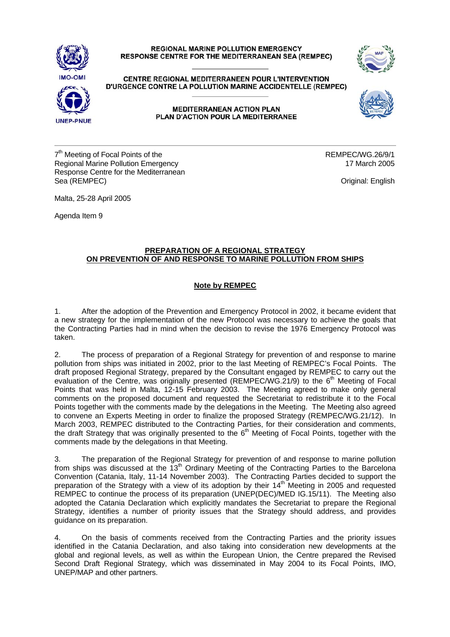## **REGIONAL MARINE POLLUTION EMERGENCY RESPONSE CENTRE FOR THE MEDITERRANEAN SEA (REMPEC)**





CENTRE REGIONAL MEDITERRANEEN POUR L'INTERVENTION D'URGENCE CONTRE LA POLLUTION MARINE ACCIDENTELLE (REMPEC)



**MEDITERRANEAN ACTION PLAN** PLAN D'ACTION POUR LA MEDITERRANEE

 $7<sup>th</sup>$  Meeting of Focal Points of the REMPEC/WG.26/9/1 Regional Marine Pollution Emergency 17 March 2005 Response Centre for the Mediterranean Sea (REMPEC) **Original:** English

Malta, 25-28 April 2005

Agenda Item 9

## **PREPARATION OF A REGIONAL STRATEGY ON PREVENTION OF AND RESPONSE TO MARINE POLLUTION FROM SHIPS**

## **Note by REMPEC**

1. After the adoption of the Prevention and Emergency Protocol in 2002, it became evident that a new strategy for the implementation of the new Protocol was necessary to achieve the goals that the Contracting Parties had in mind when the decision to revise the 1976 Emergency Protocol was taken.

2. The process of preparation of a Regional Strategy for prevention of and response to marine pollution from ships was initiated in 2002, prior to the last Meeting of REMPEC's Focal Points. The draft proposed Regional Strategy, prepared by the Consultant engaged by REMPEC to carry out the evaluation of the Centre, was originally presented (REMPEC/WG.21/9) to the 6<sup>th</sup> Meeting of Focal Points that was held in Malta, 12-15 February 2003. The Meeting agreed to make only general comments on the proposed document and requested the Secretariat to redistribute it to the Focal Points together with the comments made by the delegations in the Meeting. The Meeting also agreed to convene an Experts Meeting in order to finalize the proposed Strategy (REMPEC/WG.21/12). In March 2003, REMPEC distributed to the Contracting Parties, for their consideration and comments, the draft Strategy that was originally presented to the  $6<sup>th</sup>$  Meeting of Focal Points, together with the comments made by the delegations in that Meeting.

3. The preparation of the Regional Strategy for prevention of and response to marine pollution from ships was discussed at the 13<sup>th</sup> Ordinary Meeting of the Contracting Parties to the Barcelona Convention (Catania, Italy, 11-14 November 2003). The Contracting Parties decided to support the preparation of the Strategy with a view of its adoption by their 14<sup>th</sup> Meeting in 2005 and requested REMPEC to continue the process of its preparation (UNEP(DEC)/MED IG.15/11). The Meeting also adopted the Catania Declaration which explicitly mandates the Secretariat to prepare the Regional Strategy, identifies a number of priority issues that the Strategy should address, and provides guidance on its preparation.

4. On the basis of comments received from the Contracting Parties and the priority issues identified in the Catania Declaration, and also taking into consideration new developments at the global and regional levels, as well as within the European Union, the Centre prepared the Revised Second Draft Regional Strategy, which was disseminated in May 2004 to its Focal Points, IMO, UNEP/MAP and other partners.